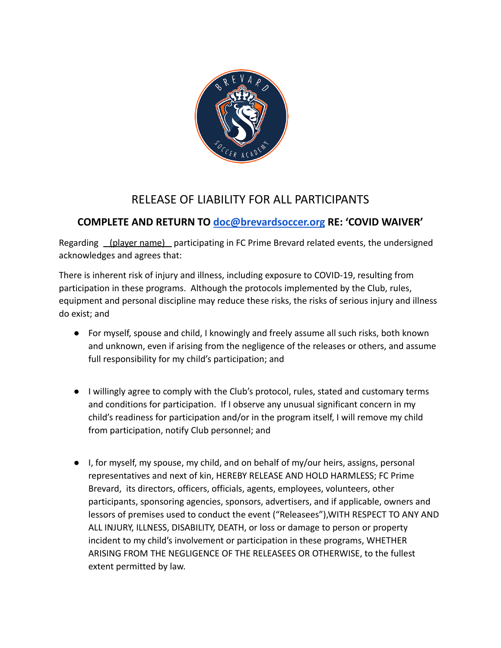

## RELEASE OF LIABILITY FOR ALL PARTICIPANTS

## **COMPLETE AND RETURN TO [doc@brevardsoccer.org](mailto:doc@brevardsoccer.org) RE: 'COVID WAIVER'**

Regarding (player name) participating in FC Prime Brevard related events, the undersigned acknowledges and agrees that:

There is inherent risk of injury and illness, including exposure to COVID-19, resulting from participation in these programs. Although the protocols implemented by the Club, rules, equipment and personal discipline may reduce these risks, the risks of serious injury and illness do exist; and

- For myself, spouse and child, I knowingly and freely assume all such risks, both known and unknown, even if arising from the negligence of the releases or others, and assume full responsibility for my child's participation; and
- I willingly agree to comply with the Club's protocol, rules, stated and customary terms and conditions for participation. If I observe any unusual significant concern in my child's readiness for participation and/or in the program itself, I will remove my child from participation, notify Club personnel; and
- I, for myself, my spouse, my child, and on behalf of my/our heirs, assigns, personal representatives and next of kin, HEREBY RELEASE AND HOLD HARMLESS; FC Prime Brevard, its directors, officers, officials, agents, employees, volunteers, other participants, sponsoring agencies, sponsors, advertisers, and if applicable, owners and lessors of premises used to conduct the event ("Releasees"),WITH RESPECT TO ANY AND ALL INJURY, ILLNESS, DISABILITY, DEATH, or loss or damage to person or property incident to my child's involvement or participation in these programs, WHETHER ARISING FROM THE NEGLIGENCE OF THE RELEASEES OR OTHERWISE, to the fullest extent permitted by law.